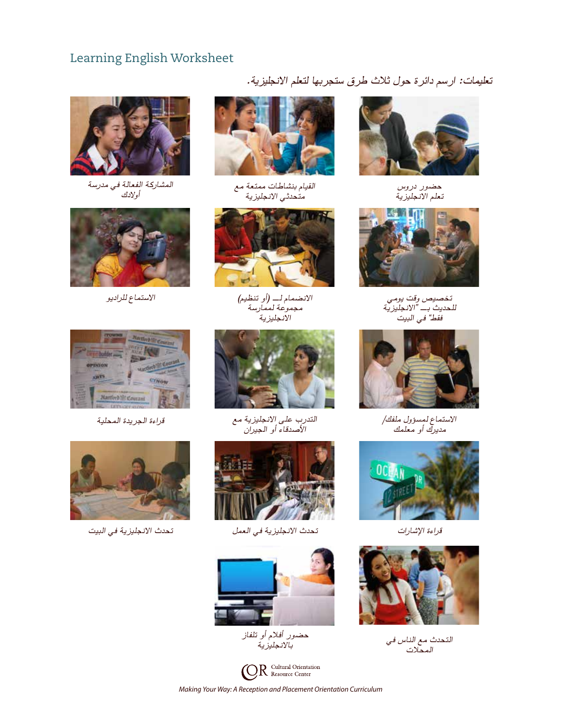# Learning English Worksheet



المشاركة الفعالة ف*ي مدر*سة<br>أولادك





القيام بنشاطات ممتعة مع أن المساركة الفعالية<br>متحدثي الانجليزية



االنضمام لـ )أو تنظيم( االستماع للراديو مجموعة لممارسة االنجليزية







التدرب على الانجليزية مع قراءة الجريدة المحلية األصدقاء أو الجيران



قراءة اإلشارات تحدث االنجليزية في العمل تحدث االنجليزية في البيت



حضور أفلام أو تلفاز<br>بالانجليزية



*Making Your Way: A Reception and Placement Orientation Curriculum*

تعليمات: ارسم دائرة حول ثالث طرق ستجربها لتعلم االنجليزية.



حضور دروس تعلم االنجليزية



تخصيص وقت يومي للحديث بـ "االنجليزية فقط" في البيت



االستماع لمسؤول ملفك/ مديرك أو معلمك





التحدث مع الناس ف*ي بالمحصول المحمدول المحمدون المحمدون*<br>بالانجليزية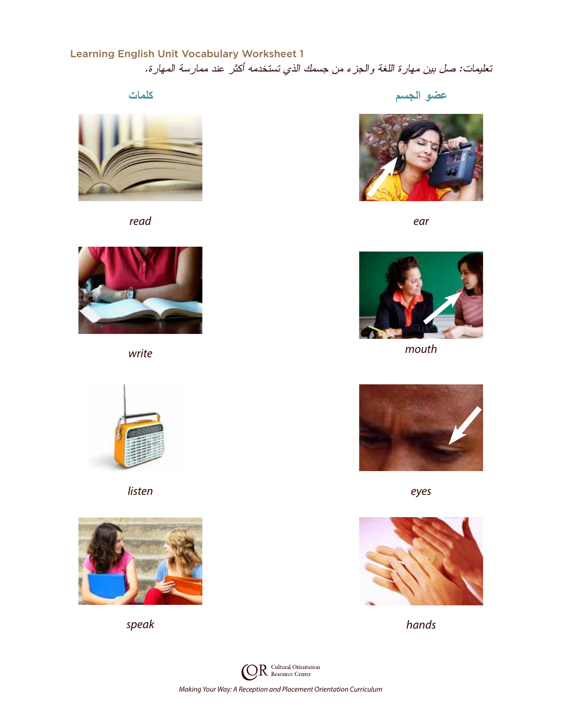# Learning English Unit Vocabulary Worksheet 1 تعليمات: صل بين مهارة اللغة والجزء من جسمك الذي تستخدمه أكثر عند ممارسة المهارة.



*read ear*





*listen eyes*









*write mouth*





*speak hands*